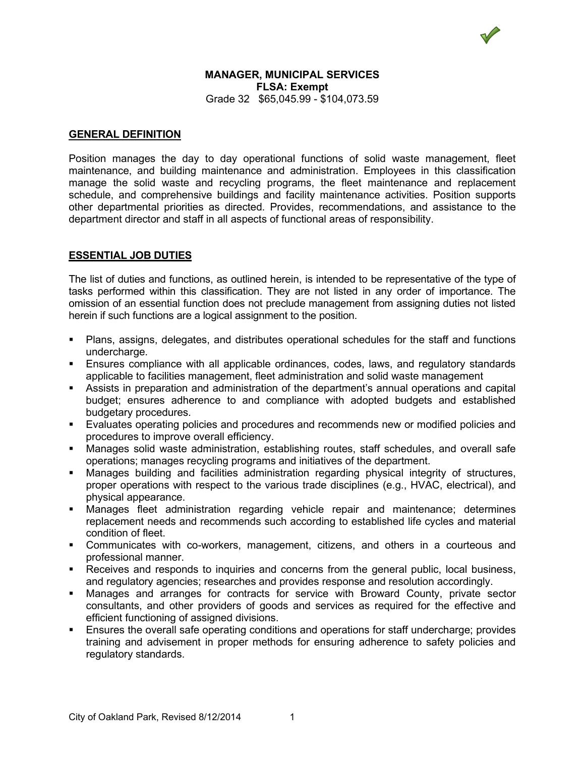## **MANAGER, MUNICIPAL SERVICES FLSA: Exempt** Grade 32 \$65,045.99 - \$104,073.59

## **GENERAL DEFINITION**

Position manages the day to day operational functions of solid waste management, fleet maintenance, and building maintenance and administration. Employees in this classification manage the solid waste and recycling programs, the fleet maintenance and replacement schedule, and comprehensive buildings and facility maintenance activities. Position supports other departmental priorities as directed. Provides, recommendations, and assistance to the department director and staff in all aspects of functional areas of responsibility.

# **ESSENTIAL JOB DUTIES**

The list of duties and functions, as outlined herein, is intended to be representative of the type of tasks performed within this classification. They are not listed in any order of importance. The omission of an essential function does not preclude management from assigning duties not listed herein if such functions are a logical assignment to the position.

- Plans, assigns, delegates, and distributes operational schedules for the staff and functions undercharge.
- Ensures compliance with all applicable ordinances, codes, laws, and regulatory standards applicable to facilities management, fleet administration and solid waste management
- Assists in preparation and administration of the department's annual operations and capital budget; ensures adherence to and compliance with adopted budgets and established budgetary procedures.
- Evaluates operating policies and procedures and recommends new or modified policies and procedures to improve overall efficiency.
- Manages solid waste administration, establishing routes, staff schedules, and overall safe operations; manages recycling programs and initiatives of the department.
- Manages building and facilities administration regarding physical integrity of structures, proper operations with respect to the various trade disciplines (e.g., HVAC, electrical), and physical appearance.
- Manages fleet administration regarding vehicle repair and maintenance; determines replacement needs and recommends such according to established life cycles and material condition of fleet.
- Communicates with co-workers, management, citizens, and others in a courteous and professional manner.
- **Receives and responds to inquiries and concerns from the general public, local business,** and regulatory agencies; researches and provides response and resolution accordingly.
- Manages and arranges for contracts for service with Broward County, private sector consultants, and other providers of goods and services as required for the effective and efficient functioning of assigned divisions.
- Ensures the overall safe operating conditions and operations for staff undercharge; provides training and advisement in proper methods for ensuring adherence to safety policies and regulatory standards.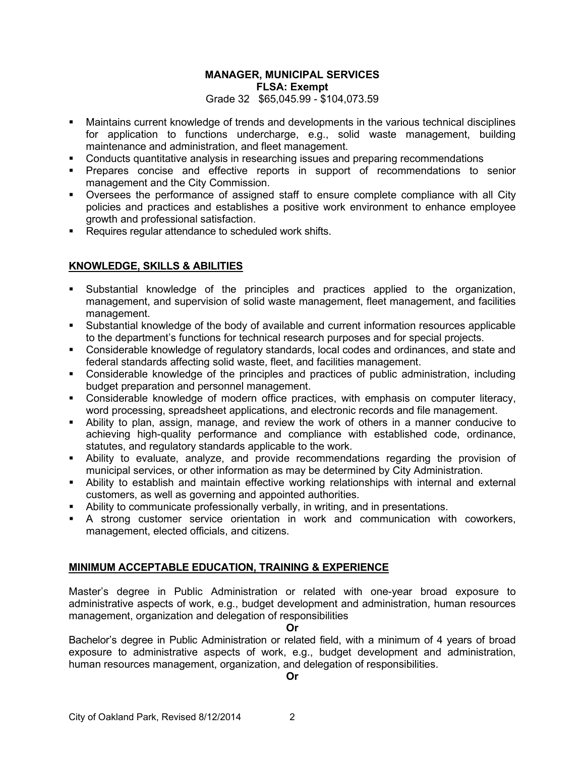# **MANAGER, MUNICIPAL SERVICES FLSA: Exempt** Grade 32 \$65,045.99 - \$104,073.59

- Maintains current knowledge of trends and developments in the various technical disciplines for application to functions undercharge, e.g., solid waste management, building maintenance and administration, and fleet management.
- Conducts quantitative analysis in researching issues and preparing recommendations
- **Prepares concise and effective reports in support of recommendations to senior** management and the City Commission.
- Oversees the performance of assigned staff to ensure complete compliance with all City policies and practices and establishes a positive work environment to enhance employee growth and professional satisfaction.
- Requires regular attendance to scheduled work shifts.

# **KNOWLEDGE, SKILLS & ABILITIES**

- Substantial knowledge of the principles and practices applied to the organization, management, and supervision of solid waste management, fleet management, and facilities management.
- Substantial knowledge of the body of available and current information resources applicable to the department's functions for technical research purposes and for special projects.
- Considerable knowledge of regulatory standards, local codes and ordinances, and state and federal standards affecting solid waste, fleet, and facilities management.
- Considerable knowledge of the principles and practices of public administration, including budget preparation and personnel management.
- Considerable knowledge of modern office practices, with emphasis on computer literacy, word processing, spreadsheet applications, and electronic records and file management.
- Ability to plan, assign, manage, and review the work of others in a manner conducive to achieving high-quality performance and compliance with established code, ordinance, statutes, and regulatory standards applicable to the work.
- Ability to evaluate, analyze, and provide recommendations regarding the provision of municipal services, or other information as may be determined by City Administration.
- Ability to establish and maintain effective working relationships with internal and external customers, as well as governing and appointed authorities.
- Ability to communicate professionally verbally, in writing, and in presentations.
- A strong customer service orientation in work and communication with coworkers, management, elected officials, and citizens.

# **MINIMUM ACCEPTABLE EDUCATION, TRAINING & EXPERIENCE**

Master's degree in Public Administration or related with one-year broad exposure to administrative aspects of work, e.g., budget development and administration, human resources management, organization and delegation of responsibilities

#### **Or**

Bachelor's degree in Public Administration or related field, with a minimum of 4 years of broad exposure to administrative aspects of work, e.g., budget development and administration, human resources management, organization, and delegation of responsibilities.